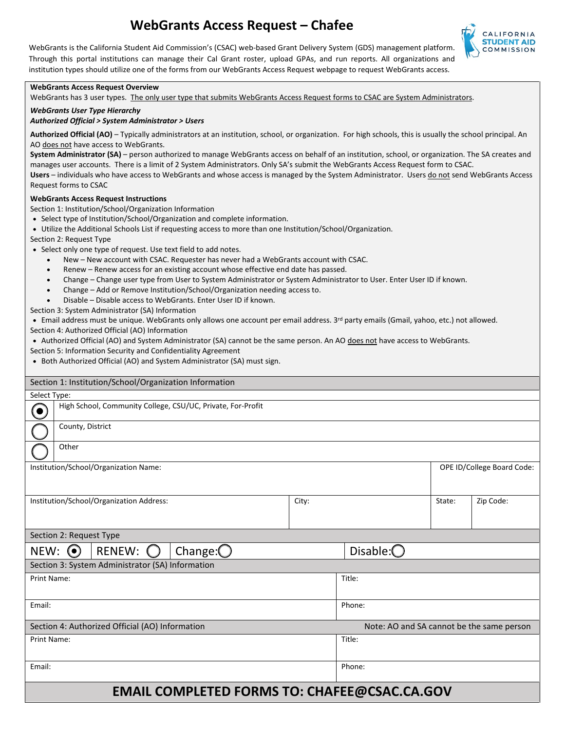# **WebGrants Access Request – Chafee**



WebGrants is the California Student Aid Commission's (CSAC) web-based Grant Delivery System (GDS) management platform. Through this portal institutions can manage their Cal Grant roster, upload GPAs, and run reports. All organizations and institution types should utilize one of the forms from our WebGrants Access Request webpage to request WebGrants access.

#### **WebGrants Access Request Overview**

WebGrants has 3 user types. The only user type that submits WebGrants Access Request forms to CSAC are System Administrators.

#### *WebGrants User Type Hierarchy*

#### *Authorized Official > System Administrator > Users*

Authorized Official (AO) - Typically administrators at an institution, school, or organization. For high schools, this is usually the school principal. An AO does not have access to WebGrants.

gamza<br>form to<br><u>do not</u> **System Administrator (SA)** – person authorized to manage WebGrants access on behalf of an institution, school, or organization. The SA creates and manages user accounts. There is a limit of 2 System Administrators. Only SA's submit the WebGrants Access Request form to CSAC. Users – individuals who have access to WebGrants and whose access is managed by the System Administrator. Users do not send WebGrants Access Request forms to CSAC

#### **WebGrants Access Request Instructions**

Section 1: Institution/School/Organization Information

- Select type of Institution/School/Organization and complete information.
- Utilize the Additional Schools List if requesting access to more than one Institution/School/Organization.

Section 2: Request Type

- Select only one type of request. Use text field to add notes.
	- New New account with CSAC. Requester has never had a WebGrants account with CSAC.
	- Renew Renew access for an existing account whose effective end date has passed.
	- Change Change user type from User to System Administrator or System Administrator to User. Enter User ID if known.
	- Change Add or Remove Institution/School/Organization needing access to.
	- Disable Disable access to WebGrants. Enter User ID if known.

Section 3: System Administrator (SA) Information

• Email address must be unique. WebGrants only allows one account per email address. 3<sup>rd</sup> party emails (Gmail, yahoo, etc.) not allowed.

Section 4: Authorized Official (AO) Information

- Authorized Official (AO) and System Administrator (SA) cannot be the same person. An AO does not have access to WebGrants.
- Section 5: Information Security and Confidentiality Agreement
- Both Authorized Official (AO) and System Administrator (SA) must sign.

| Section 1: Institution/School/Organization Information |                                                             |  |  |  |       |  |                                           |        |           |  |
|--------------------------------------------------------|-------------------------------------------------------------|--|--|--|-------|--|-------------------------------------------|--------|-----------|--|
| Select Type:                                           |                                                             |  |  |  |       |  |                                           |        |           |  |
| $\mathbf{\Theta}$                                      | High School, Community College, CSU/UC, Private, For-Profit |  |  |  |       |  |                                           |        |           |  |
|                                                        | County, District                                            |  |  |  |       |  |                                           |        |           |  |
|                                                        | Other                                                       |  |  |  |       |  |                                           |        |           |  |
| Institution/School/Organization Name:                  |                                                             |  |  |  |       |  | OPE ID/College Board Code:                |        |           |  |
|                                                        |                                                             |  |  |  |       |  |                                           |        |           |  |
| Institution/School/Organization Address:               |                                                             |  |  |  | City: |  |                                           | State: | Zip Code: |  |
|                                                        |                                                             |  |  |  |       |  |                                           |        |           |  |
| Section 2: Request Type                                |                                                             |  |  |  |       |  |                                           |        |           |  |
| $NEW:$ $\odot$<br><b>RENEW:</b><br>Change: $\bigcirc$  |                                                             |  |  |  |       |  | Disable: $\bigcirc$                       |        |           |  |
| Section 3: System Administrator (SA) Information       |                                                             |  |  |  |       |  |                                           |        |           |  |
| Print Name:                                            |                                                             |  |  |  |       |  | Title:                                    |        |           |  |
|                                                        |                                                             |  |  |  |       |  |                                           |        |           |  |
| Email:                                                 |                                                             |  |  |  |       |  | Phone:                                    |        |           |  |
| Section 4: Authorized Official (AO) Information        |                                                             |  |  |  |       |  | Note: AO and SA cannot be the same person |        |           |  |
| Print Name:                                            |                                                             |  |  |  |       |  | Title:                                    |        |           |  |
|                                                        |                                                             |  |  |  |       |  |                                           |        |           |  |
| Email:                                                 |                                                             |  |  |  |       |  | Phone:                                    |        |           |  |
|                                                        |                                                             |  |  |  |       |  |                                           |        |           |  |
| EMAIL COMPLETED EOPMS TO: CHAEFE GCSAC CA COV          |                                                             |  |  |  |       |  |                                           |        |           |  |

## **EMAIL COMPLETED FORMS TO: CHAFEE@CSAC.CA.GOV**